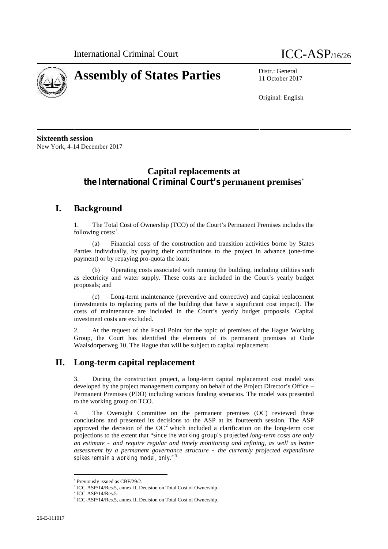



11 October 2017

Original: English

**Sixteenth session** New York, 4-14 December 2017

# **Capital replacements at the International Criminal Court's permanent premises**

## **I. Background**

1. The Total Cost of Ownership (TCO) of the Court's Permanent Premises includes the following  $costs$ :

(a) Financial costs of the construction and transition activities borne by States Parties individually, by paying their contributions to the project in advance (one-time payment) or by repaying pro-quota the loan;

(b) Operating costs associated with running the building, including utilities such as electricity and water supply. These costs are included in the Court's yearly budget proposals; and

(c) Long-term maintenance (preventive and corrective) and capital replacement (investments to replacing parts of the building that have a significant cost impact). The costs of maintenance are included in the Court's yearly budget proposals. Capital investment costs are excluded.

2. At the request of the Focal Point for the topic of premises of the Hague Working Group, the Court has identified the elements of its permanent premises at Oude Waalsdorperweg 10, The Hague that will be subject to capital replacement.

## **II. Long-term capital replacement**

3. During the construction project, a long-term capital replacement cost model was developed by the project management company on behalf of the Project Director's Office – Permanent Premises (PDO) including various funding scenarios. The model was presented to the working group on TCO.

4. The Oversight Committee on the permanent premises (OC) reviewed these conclusions and presented its decisions to the ASP at its fourteenth session. The ASP approved the decision of the  $OC^2$  which included a clarification on the long-term cost projections to the extent that "*since the working group's projected long-term costs are only an estimate – and require regular and timely monitoring and refining, as well as better assessment by a permanent governance structure – the currently projected expenditure spikes remain a working model, only."*<sup>3</sup>

Previously issued as CBF/29/2.

<sup>&</sup>lt;sup>1</sup> ICC-ASP/14/Res.5, annex II, Decision on Total Cost of Ownership.<br><sup>2</sup> ICC-ASP/14/Res.5.

<sup>&</sup>lt;sup>3</sup> ICC-ASP/14/Res.5, annex II, Decision on Total Cost of Ownership.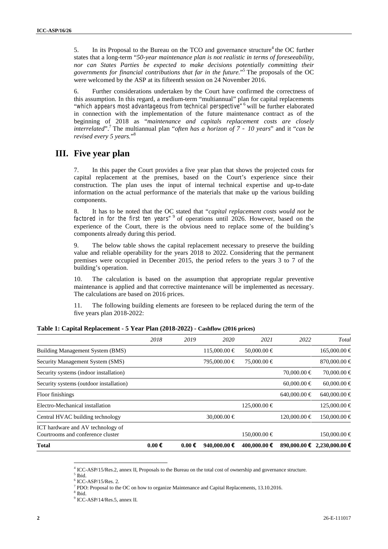5. In its Proposal to the Bureau on the TCO and governance structure<sup>4</sup> the OC further states that a long-term "*50-year maintenance plan is not realistic in terms of foreseeability, nor can States Parties be expected to make decisions potentially committing their governments for financial contributions that far in the future.*" <sup>5</sup> The proposals of the OC were welcomed by the ASP at its fifteenth session on 24 November 2016.

6. Further considerations undertaken by the Court have confirmed the correctness of this assumption. In this regard, a medium-term "multiannual" plan for capital replacements "*which appears most advantageous from technical perspective"*<sup>6</sup> will be further elaborated in connection with the implementation of the future maintenance contract as of the beginning of 2018 as "*maintenance and capitals replacement costs are closely interrelated*".<sup>7</sup> The multiannual plan "*often has a horizon of 7 – 10 years*" and it "*can be revised every 5 years.*" 8

### **III. Five year plan**

7. In this paper the Court provides a five year plan that shows the projected costs for capital replacement at the premises, based on the Court's experience since their construction. The plan uses the input of internal technical expertise and up-to-date information on the actual performance of the materials that make up the various building components.

8. It has to be noted that the OC stated that "*capital replacement costs would not be factored in for the first ten years"*<sup>9</sup> of operations until 2026. However, based on the experience of the Court, there is the obvious need to replace some of the building's components already during this period.

9. The below table shows the capital replacement necessary to preserve the building value and reliable operability for the years 2018 to 2022. Considering that the permanent premises were occupied in December 2015, the period refers to the years 3 to 7 of the building's operation.

10. The calculation is based on the assumption that appropriate regular preventive maintenance is applied and that corrective maintenance will be implemented as necessary. The calculations are based on 2016 prices.

11. The following building elements are foreseen to be replaced during the term of the five years plan 2018-2022:

| <b>Total</b>                                                           | $0.00 \in$ | $0.00 \in$ | 940,000.00 €     | 400,000.00 €     | 890,000.00 €    | 2,230,000,00 €        |
|------------------------------------------------------------------------|------------|------------|------------------|------------------|-----------------|-----------------------|
| ICT hardware and AV technology of<br>Courtrooms and conference cluster |            |            |                  | 150,000.00 €     |                 | $150,000.00 \in$      |
| Central HVAC building technology                                       |            |            | 30,000.00 €      |                  | $120,000,00$ €  | $150,000.00 \in$      |
| Electro-Mechanical installation                                        |            |            |                  | $125,000.00 \in$ |                 | $125,000.00 \in$      |
| Floor finishings                                                       |            |            |                  |                  | $640,000,00$ €  | $640,000.00 \in$      |
| Security systems (outdoor installation)                                |            |            |                  |                  | $60,000,00 \in$ | $60,000.00 \in$       |
| Security systems (indoor installation)                                 |            |            |                  |                  | 70,000.00 €     | 70,000.00 €           |
| Security Management System (SMS)                                       |            |            | 795,000.00 €     | 75,000.00 €      |                 | 870,000.00 $\epsilon$ |
| Building Management System (BMS)                                       |            |            | $115,000.00 \in$ | 50,000.00 €      |                 | $165,000.00 \in$      |
|                                                                        | 2018       | 2019       | 2020             | 2021             | 2022            | Total                 |

**Table 1: Capital Replacement - 5 Year Plan (2018-2022) - Cashflow (2016 prices)**

 $6$  ICC-ASP/15/Res. 2.

 $^{4}$  ICC-ASP/15/Res.2, annex II, Proposals to the Bureau on the total cost of ownership and governance structure.  $^5$  Ibid.

<sup>7</sup> PDO: Proposal to the OC on how to organize Maintenance and Capital Replacements, 13.10.2016.

 $\frac{8}{9}$  Ibid.<br> $\frac{9}{9}$  ICC-ASP/14/Res.5, annex II.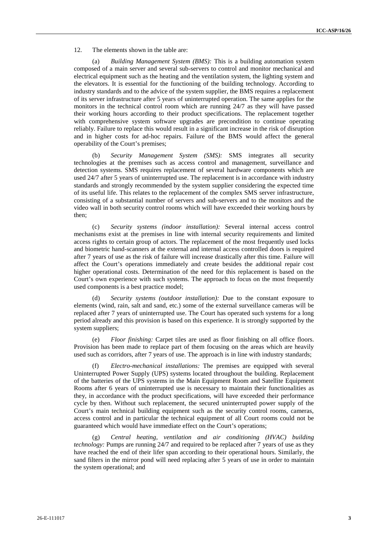#### 12. The elements shown in the table are:

(a) *Building Management System (BMS):* This is a building automation system composed of a main server and several sub-servers to control and monitor mechanical and electrical equipment such as the heating and the ventilation system, the lighting system and the elevators. It is essential for the functioning of the building technology. According to industry standards and to the advice of the system supplier, the BMS requires a replacement of its server infrastructure after 5 years of uninterrupted operation. The same applies for the monitors in the technical control room which are running 24/7 as they will have passed their working hours according to their product specifications. The replacement together with comprehensive system software upgrades are precondition to continue operating reliably. Failure to replace this would result in a significant increase in the risk of disruption and in higher costs for ad-hoc repairs. Failure of the BMS would affect the general operability of the Court's premises;

(b) *Security Management System (SMS):* SMS integrates all security technologies at the premises such as access control and management, surveillance and detection systems. SMS requires replacement of several hardware components which are used 24/7 after 5 years of uninterrupted use. The replacement is in accordance with industry standards and strongly recommended by the system supplier considering the expected time of its useful life. This relates to the replacement of the complex SMS server infrastructure, consisting of a substantial number of servers and sub-servers and to the monitors and the video wall in both security control rooms which will have exceeded their working hours by then;

(c) *Security systems (indoor installation):* Several internal access control mechanisms exist at the premises in line with internal security requirements and limited access rights to certain group of actors. The replacement of the most frequently used locks and biometric hand-scanners at the external and internal access controlled doors is required after 7 years of use as the risk of failure will increase drastically after this time. Failure will affect the Court's operations immediately and create besides the additional repair cost higher operational costs. Determination of the need for this replacement is based on the Court's own experience with such systems. The approach to focus on the most frequently used components is a best practice model;

(d) *Security systems (outdoor installation):* Due to the constant exposure to elements (wind, rain, salt and sand, etc.) some of the external surveillance cameras will be replaced after 7 years of uninterrupted use. The Court has operated such systems for a long period already and this provision is based on this experience. It is strongly supported by the system suppliers;

(e) *Floor finishing:* Carpet tiles are used as floor finishing on all office floors. Provision has been made to replace part of them focusing on the areas which are heavily used such as corridors, after 7 years of use. The approach is in line with industry standards;

(f) *Electro-mechanical installations:* The premises are equipped with several Uninterrupted Power Supply (UPS) systems located throughout the building. Replacement of the batteries of the UPS systems in the Main Equipment Room and Satellite Equipment Rooms after 6 years of uninterrupted use is necessary to maintain their functionalities as they, in accordance with the product specifications, will have exceeded their performance cycle by then. Without such replacement, the secured uninterrupted power supply of the Court's main technical building equipment such as the security control rooms, cameras, access control and in particular the technical equipment of all Court rooms could not be guaranteed which would have immediate effect on the Court's operations;

(g) *Central heating, ventilation and air conditioning (HVAC) building technology:* Pumps are running 24/7 and required to be replaced after 7 years of use as they have reached the end of their lifer span according to their operational hours. Similarly, the sand filters in the mirror pond will need replacing after 5 years of use in order to maintain the system operational; and